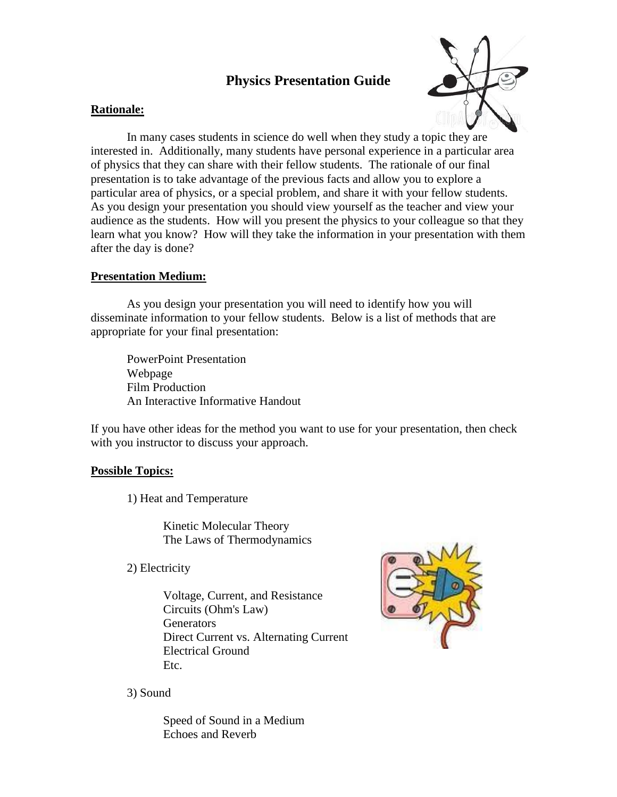# **Physics Presentation Guide**



### **Rationale:**

In many cases students in science do well when they study a topic they are interested in. Additionally, many students have personal experience in a particular area of physics that they can share with their fellow students. The rationale of our final presentation is to take advantage of the previous facts and allow you to explore a particular area of physics, or a special problem, and share it with your fellow students. As you design your presentation you should view yourself as the teacher and view your audience as the students. How will you present the physics to your colleague so that they learn what you know? How will they take the information in your presentation with them after the day is done?

## **Presentation Medium:**

As you design your presentation you will need to identify how you will disseminate information to your fellow students. Below is a list of methods that are appropriate for your final presentation:

PowerPoint Presentation Webpage Film Production An Interactive Informative Handout

If you have other ideas for the method you want to use for your presentation, then check with you instructor to discuss your approach.

## **Possible Topics:**

1) Heat and Temperature

Kinetic Molecular Theory The Laws of Thermodynamics

2) Electricity

Voltage, Current, and Resistance Circuits (Ohm's Law) **Generators** Direct Current vs. Alternating Current Electrical Ground Etc.



3) Sound

Speed of Sound in a Medium Echoes and Reverb